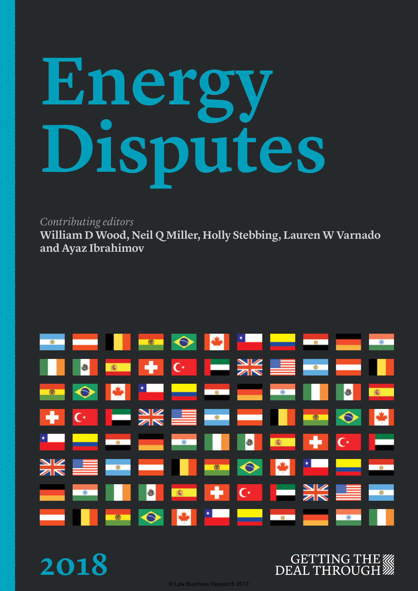# **Energy Disputes**

*Contributing editors*

**William D Wood, Neil Q Miller, Holly Stebbing, Lauren W Varnado and Ayaz Ibrahimov**

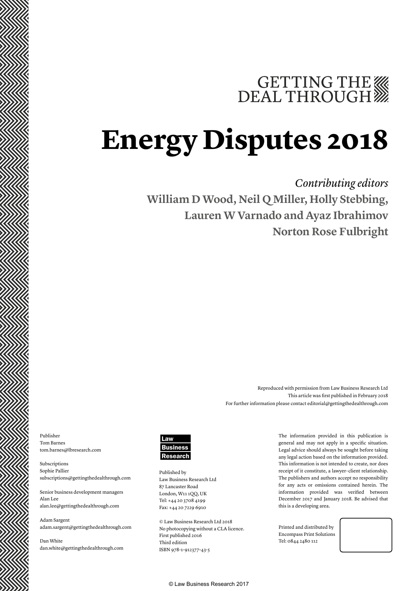# GETTING THE WE DEAL THROUGH

## **Energy Disputes 2018**

*Contributing editors* **William D Wood, Neil Q Miller, Holly Stebbing, Lauren W Varnado and Ayaz Ibrahimov Norton Rose Fulbright**

> Reproduced with permission from Law Business Research Ltd This article was first published in February 2018 For further information please contact editorial@gettingthedealthrough.com

Publisher Tom Barnes tom.barnes@lbresearch.com

Subscriptions Sophie Pallier subscriptions@gettingthedealthrough.com

Senior business development managers Alan Lee alan.lee@gettingthedealthrough.com

Adam Sargent adam.sargent@gettingthedealthrough.com

Dan White dan.white@gettingthedealthrough.com



Published by Law Business Research Ltd 87 Lancaster Road London, W11 1QQ, UK Tel: +44 20 3708 4199 Fax: +44 20 7229 6910

© Law Business Research Ltd 2018 No photocopying without a CLA licence. First published 2016 Third edition ISBN 978-1-912377-43-5

The information provided in this publication is general and may not apply in a specific situation. Legal advice should always be sought before taking any legal action based on the information provided. This information is not intended to create, nor does receipt of it constitute, a lawyer–client relationship. The publishers and authors accept no responsibility for any acts or omissions contained herein. The information provided was verified between December 2017 and January 2018. Be advised that this is a developing area.

Printed and distributed by Encompass Print Solutions Tel: 0844 2480 112

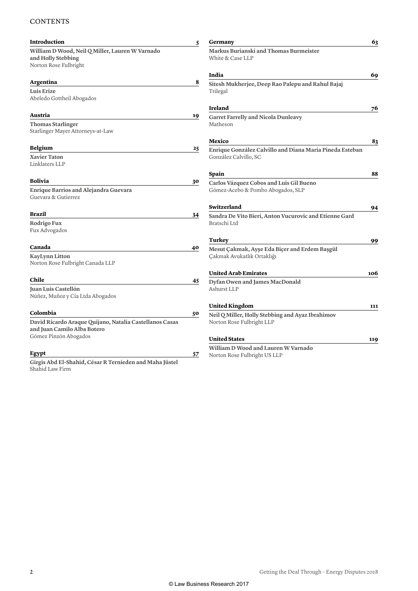#### **CONTENTS**

| <b>Introduction</b>                                                   | 5  | Germany                                                    | 63  |
|-----------------------------------------------------------------------|----|------------------------------------------------------------|-----|
| William D Wood, Neil Q Miller, Lauren W Varnado<br>and Holly Stebbing |    | Markus Burianski and Thomas Burmeister<br>White & Case LLP |     |
| Norton Rose Fulbright                                                 |    |                                                            |     |
|                                                                       |    | India                                                      | 69  |
| Argentina                                                             | 8  | Sitesh Mukherjee, Deep Rao Palepu and Rahul Bajaj          |     |
| <b>Luis Erize</b><br>Abeledo Gottheil Abogados                        |    | Trilegal                                                   |     |
|                                                                       |    | <b>Ireland</b>                                             | 76  |
| Austria                                                               | 19 | <b>Garret Farrelly and Nicola Dunleavy</b>                 |     |
| <b>Thomas Starlinger</b>                                              |    | Matheson                                                   |     |
| Starlinger Mayer Attorneys-at-Law                                     |    |                                                            |     |
|                                                                       |    | Mexico                                                     | 83  |
| <b>Belgium</b>                                                        | 25 | Enrique González Calvillo and Diana Maria Pineda Esteban   |     |
| <b>Xavier Taton</b>                                                   |    | González Calvillo, SC                                      |     |
| Linklaters LLP                                                        |    |                                                            |     |
|                                                                       |    | Spain                                                      | 88  |
| <b>Bolivia</b>                                                        | 30 | Carlos Vázquez Cobos and Luis Gil Bueno                    |     |
| Enrique Barrios and Alejandra Guevara                                 |    | Gómez-Acebo & Pombo Abogados, SLP                          |     |
| Guevara & Gutierrez                                                   |    |                                                            |     |
|                                                                       |    | Switzerland                                                | 94  |
| Brazil                                                                | 34 | Sandra De Vito Bieri, Anton Vucurovic and Etienne Gard     |     |
| Rodrigo Fux                                                           |    | Bratschi Ltd                                               |     |
| Fux Advogados                                                         |    |                                                            |     |
|                                                                       |    | Turkey                                                     | 99  |
| Canada                                                                | 40 | Mesut Çakmak, Ayşe Eda Biçer and Erdem Başgül              |     |
| <b>KayLynn Litton</b>                                                 |    | Çakmak Avukatlık Ortaklığı                                 |     |
| Norton Rose Fulbright Canada LLP                                      |    |                                                            |     |
|                                                                       |    | <b>United Arab Emirates</b>                                | 106 |
| Chile                                                                 | 45 | Dyfan Owen and James MacDonald                             |     |
| Juan Luis Castellón                                                   |    | Ashurst LLP                                                |     |
| Núñez, Muñoz y Cía Ltda Abogados                                      |    |                                                            |     |
|                                                                       |    | <b>United Kingdom</b>                                      | 111 |
| Colombia                                                              | 50 | Neil Q Miller, Holly Stebbing and Ayaz Ibrahimov           |     |
| David Ricardo Araque Quijano, Natalia Castellanos Casas               |    | Norton Rose Fulbright LLP                                  |     |
| and Juan Camilo Alba Botero                                           |    |                                                            |     |
| Gómez Pinzón Abogados                                                 |    | <b>United States</b>                                       | 119 |
|                                                                       |    | William D Wood and Lauren W Varnado                        |     |
| Egypt                                                                 | 57 | Norton Rose Fulbright US LLP                               |     |
| Girgis Abd El-Shahid, César R Ternieden and Maha Jüstel               |    |                                                            |     |
| Shahid Law Firm                                                       |    |                                                            |     |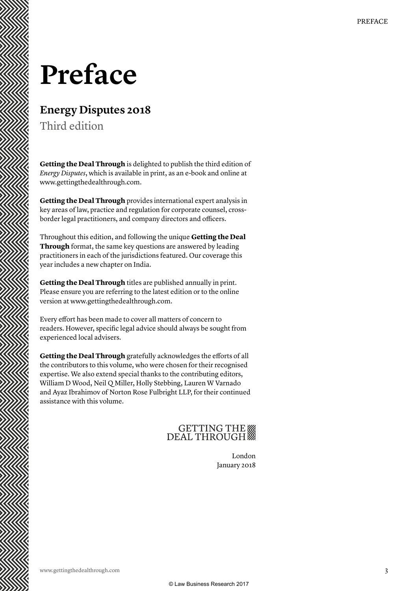### **Preface**

### **Energy Disputes 2018**

Third edition

**Getting the Deal Through** is delighted to publish the third edition of *Energy Disputes*, which is available in print, as an e-book and online at www.gettingthedealthrough.com.

**Getting the Deal Through** provides international expert analysis in key areas of law, practice and regulation for corporate counsel, crossborder legal practitioners, and company directors and officers.

Throughout this edition, and following the unique **Getting the Deal Through** format, the same key questions are answered by leading practitioners in each of the jurisdictions featured. Our coverage this year includes a new chapter on India.

**Getting the Deal Through** titles are published annually in print. Please ensure you are referring to the latest edition or to the online version at www.gettingthedealthrough.com.

Every effort has been made to cover all matters of concern to readers. However, specific legal advice should always be sought from experienced local advisers.

**Getting the Deal Through** gratefully acknowledges the efforts of all the contributors to this volume, who were chosen for their recognised expertise. We also extend special thanks to the contributing editors, William D Wood, Neil Q Miller, Holly Stebbing, Lauren W Varnado and Ayaz Ibrahimov of Norton Rose Fulbright LLP, for their continued assistance with this volume.

### GETTING THE

London January 2018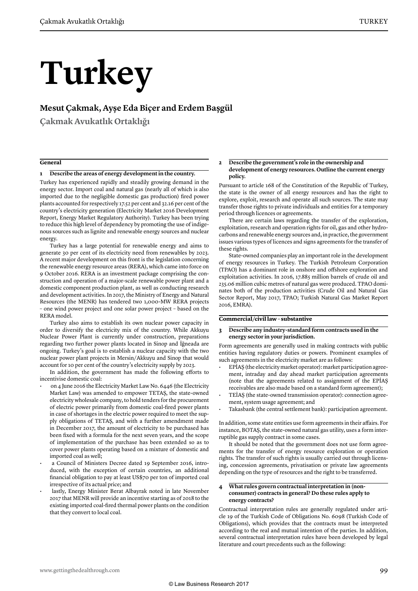# **Turkey**

#### **Mesut Çakmak, Ayşe Eda Biçer and Erdem Başgül**

**Çakmak Avukatlık Ortaklığı**

#### **General**

#### **1 Describe the areas of energy development in the country.**

Turkey has experienced rapidly and steadily growing demand in the energy sector. Import coal and natural gas (nearly all of which is also imported due to the negligible domestic gas production) fired power plants accounted for respectively 17.52 per cent and 32.16 per cent of the country's electricity generation (Electricity Market 2016 Development Report, Energy Market Regulatory Authority). Turkey has been trying to reduce this high level of dependency by promoting the use of indigenous sources such as lignite and renewable energy sources and nuclear energy.

Turkey has a large potential for renewable energy and aims to generate 30 per cent of its electricity need from renewables by 2023. A recent major development on this front is the legislation concerning the renewable energy resource areas (RERA), which came into force on 9 October 2016. RERA is an investment package comprising the construction and operation of a major-scale renewable power plant and a domestic component production plant, as well as conducting research and development activities. In 2017, the Ministry of Energy and Natural Resources (the MENR) has tendered two 1,000-MW RERA projects – one wind power project and one solar power project – based on the RERA model.

Turkey also aims to establish its own nuclear power capacity in order to diversify the electricity mix of the country. While Akkuyu Nuclear Power Plant is currently under construction, preparations regarding two further power plants located in Sinop and İğneada are ongoing. Turkey's goal is to establish a nuclear capacity with the two nuclear power plant projects in Mersin/Akkuyu and Sinop that would account for 10 per cent of the country's electricity supply by 2023.

In addition, the government has made the following efforts to incentivise domestic coal:

- on 4 June 2016 the Electricity Market Law No. 6446 (the Electricity Market Law) was amended to empower TETAŞ, the state-owned electricity wholesale company, to hold tenders for the procurement of electric power primarily from domestic coal-fired power plants in case of shortages in the electric power required to meet the supply obligations of TETAŞ, and with a further amendment made in December 2017, the amount of electricity to be purchased has been fixed with a formula for the next seven years, and the scope of implementation of the purchase has been extended so as to cover power plants operating based on a mixture of domestic and imported coal as well;
- a Council of Ministers Decree dated 19 September 2016, introduced, with the exception of certain countries, an additional financial obligation to pay at least US\$70 per ton of imported coal irrespective of its actual price; and
- lastly, Energy Minister Berat Albayrak noted in late November 2017 that MENR will provide an incentive starting as of 2018 to the existing imported coal-fired thermal power plants on the condition that they convert to local coal.

#### **2 Describe the government's role in the ownership and development of energy resources. Outline the current energy policy.**

Pursuant to article 168 of the Constitution of the Republic of Turkey, the state is the owner of all energy resources and has the right to explore, exploit, research and operate all such sources. The state may transfer those rights to private individuals and entities for a temporary period through licences or agreements.

There are certain laws regarding the transfer of the exploration, exploitation, research and operation rights for oil, gas and other hydrocarbons and renewable energy sources and, in practice, the government issues various types of licences and signs agreements for the transfer of these rights.

State-owned companies play an important role in the development of energy resources in Turkey. The Turkish Petroleum Corporation (TPAO) has a dominant role in onshore and offshore exploration and exploitation activities. In 2016, 17.885 million barrels of crude oil and 235.06 million cubic metres of natural gas were produced. TPAO dominates both of the production activities (Crude Oil and Natural Gas Sector Report, May 2017, TPAO; Turkish Natural Gas Market Report 2016, EMRA).

#### **Commercial/civil law – substantive**

#### **3 Describe any industry-standard form contracts used in the energy sector in your jurisdiction.**

Form agreements are generally used in making contracts with public entities having regulatory duties or powers. Prominent examples of such agreements in the electricity market are as follows:

- EPİAŞ (the electricity market operator): market participation agreement, intraday and day ahead market participation agreements (note that the agreements related to assignment of the EPİAŞ receivables are also made based on a standard form agreement);
- TEİAŞ (the state-owned transmission operator): connection agreement, system usage agreement; and
- Takasbank (the central settlement bank): participation agreement.

In addition, some state entities use form agreements in their affairs. For instance, BOTAŞ, the state-owned natural gas utility, uses a form interruptible gas supply contract in some cases.

It should be noted that the government does not use form agreements for the transfer of energy resource exploration or operation rights. The transfer of such rights is usually carried out through licensing, concession agreements, privatisation or private law agreements depending on the type of resources and the right to be transferred.

#### **4 What rules govern contractual interpretation in (nonconsumer) contracts in general? Do these rules apply to energy contracts?**

Contractual interpretation rules are generally regulated under article 19 of the Turkish Code of Obligations No. 6098 (Turkish Code of Obligations), which provides that the contracts must be interpreted according to the real and mutual intention of the parties. In addition, several contractual interpretation rules have been developed by legal literature and court precedents such as the following: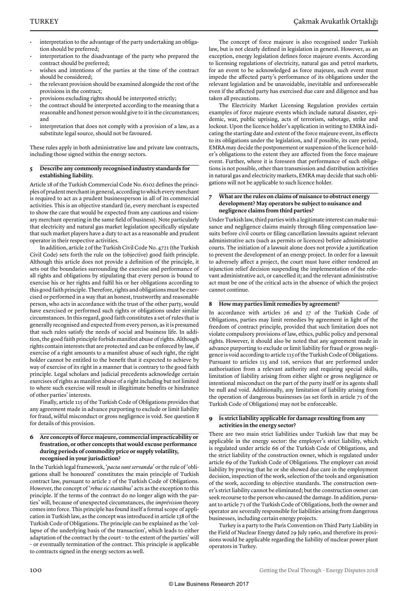- interpretation to the advantage of the party undertaking an obligation should be preferred;
- interpretation to the disadvantage of the party who prepared the contract should be preferred;
- wishes and intentions of the parties at the time of the contract should be considered;
- the relevant provision should be examined alongside the rest of the provisions in the contract;
- provisions excluding rights should be interpreted strictly;
- the contract should be interpreted according to the meaning that a reasonable and honest person would give to it in the circumstances; and
- interpretation that does not comply with a provision of a law, as a substitute legal source, should not be favoured.

These rules apply in both administrative law and private law contracts, including those signed within the energy sectors.

#### **5 Describe any commonly recognised industry standards for establishing liability.**

Article 18 of the Turkish Commercial Code No. 6102 defines the principles of prudent merchant in general, according to which every merchant is required to act as a prudent businessperson in all of its commercial activities. This is an objective standard (ie, every merchant is expected to show the care that would be expected from any cautious and visionary merchant operating in the same field of business). Note particularly that electricity and natural gas market legislation specifically stipulate that such market players have a duty to act as a reasonable and prudent operator in their respective activities.

In addition, article 2 of the Turkish Civil Code No. 4721 (the Turkish Civil Code) sets forth the rule on the (objective) good faith principle. Although this article does not provide a definition of the principle, it sets out the boundaries surrounding the exercise and performance of all rights and obligations by stipulating that every person is bound to exercise his or her rights and fulfil his or her obligations according to this good faith principle. Therefore, rights and obligations must be exercised or performed in a way that an honest, trustworthy and reasonable person, who acts in accordance with the trust of the other party, would have exercised or performed such rights or obligations under similar circumstances. In this regard, good faith constitutes a set of rules that is generally recognised and expected from every person, as it is presumed that such rules satisfy the needs of social and business life. In addition, the good faith principle forbids manifest abuse of rights. Although rights contain interests that are protected and can be enforced by law, if exercise of a right amounts to a manifest abuse of such right, the right holder cannot be entitled to the benefit that it expected to achieve by way of exercise of its right in a manner that is contrary to the good faith principle. Legal scholars and judicial precedents acknowledge certain exercises of rights as manifest abuse of a right including but not limited to where such exercise will result in illegitimate benefits or hindrance of other parties' interests.

Finally, article 115 of the Turkish Code of Obligations provides that any agreement made in advance purporting to exclude or limit liability for fraud, wilful misconduct or gross negligence is void. See question 8 for details of this provision.

#### **6 Are concepts of force majeure, commercial impracticability or frustration, or other concepts that would excuse performance during periods of commodity price or supply volatility, recognised in your jurisdiction?**

In the Turkish legal framework, '*pacta sunt servanda*' or the rule of 'obligations shall be honoured' constitutes the main principle of Turkish contract law, pursuant to article 2 of the Turkish Code of Obligations. However, the concept of '*rebus sic stantibus*' acts as the exception to this principle. If the terms of the contract do no longer align with the parties' will, because of unexpected circumstances, the *imprévision* theory comes into force. This principle has found itself a formal scope of application in Turkish law, as the concept was introduced in article 138 of the Turkish Code of Obligations. The principle can be explained as the 'collapse of the underlying basis of the transaction', which leads to either adaptation of the contract by the court – to the extent of the parties' will – or eventually termination of the contract. This principle is applicable to contracts signed in the energy sectors as well.

The concept of force majeure is also recognised under Turkish law, but is not clearly defined in legislation in general. However, as an exception, energy legislation defines force majeure events. According to licensing regulations of electricity, natural gas and petrol markets, for an event to be acknowledged as force majeure, such event must impede the affected party's performance of its obligations under the relevant legislation and be unavoidable, inevitable and unforeseeable even if the affected party has exercised due care and diligence and has taken all precautions.

The Electricity Market Licensing Regulation provides certain examples of force majeure events which include natural disaster, epidemic, war, public uprising, acts of terrorism, sabotage, strike and lockout. Upon the licence holder's application in writing to EMRA indicating the starting date and extent of the force majeure event, its effects to its obligations under the legislation, and if possible, its cure period, EMRA may decide the postponement or suspension of the licence holder's obligations to the extent they are affected from the force majeure event. Further, where it is foreseen that performance of such obligations is not possible, other than transmission and distribution activities in natural gas and electricity markets, EMRA may decide that such obligations will not be applicable to such licence holder.

#### **7 What are the rules on claims of nuisance to obstruct energy development? May operators be subject to nuisance and negligence claims from third parties?**

Under Turkish law, third parties with a legitimate interest can make nuisance and negligence claims mainly through filing compensation lawsuits before civil courts or filing cancellation lawsuits against relevant administrative acts (such as permits or licences) before administrative courts. The initiation of a lawsuit alone does not provide a justification to prevent the development of an energy project. In order for a lawsuit to adversely affect a project, the court must have either rendered an injunction relief decision suspending the implementation of the relevant administrative act, or cancelled it; and the relevant administrative act must be one of the critical acts in the absence of which the project cannot continue.

#### **8 How may parties limit remedies by agreement?**

In accordance with articles 26 and 27 of the Turkish Code of Obligations, parties may limit remedies by agreement in light of the freedom of contract principle, provided that such limitation does not violate compulsory provisions of law, ethics, public policy and personal rights. However, it should also be noted that any agreement made in advance purporting to exclude or limit liability for fraud or gross negligence is void according to article 115 of the Turkish Code of Obligations. Pursuant to articles 115 and 116, services that are performed under authorisation from a relevant authority and requiring special skills, limitation of liability arising from either slight or gross negligence or intentional misconduct on the part of the party itself or its agents shall be null and void. Additionally, any limitation of liability arising from the operation of dangerous businesses (as set forth in article 71 of the Turkish Code of Obligations) may not be enforceable.

#### **9 Is strict liability applicable for damage resulting from any activities in the energy sector?**

There are two main strict liabilities under Turkish law that may be applicable in the energy sector: the employer's strict liability, which is regulated under article 66 of the Turkish Code of Obligations, and the strict liability of the construction owner, which is regulated under article 69 of the Turkish Code of Obligations. The employer can avoid liability by proving that he or she showed due care in the employment decision, inspection of the work, selection of the tools and organisation of the work, according to objective standards. The construction owner's strict liability cannot be eliminated; but the construction owner can seek recourse to the person who caused the damage. In addition, pursuant to article 71 of the Turkish Code of Obligations, both the owner and operator are severally responsible for liabilities arising from dangerous businesses, including certain energy projects.

Turkey is a party to the Paris Convention on Third Party Liability in the Field of Nuclear Energy dated 29 July 1960, and therefore its provisions would be applicable regarding the liability of nuclear power plant operators in Turkey.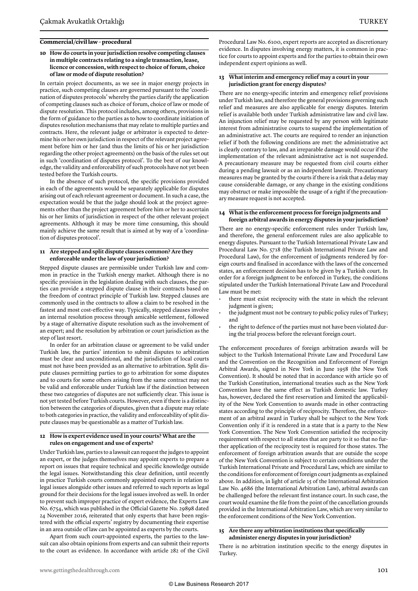#### **Commercial/civil law – procedural**

#### **10 How do courts in your jurisdiction resolve competing clauses in multiple contracts relating to a single transaction, lease, licence or concession, with respect to choice of forum, choice of law or mode of dispute resolution?**

In certain project documents, as we see in major energy projects in practice, such competing clauses are governed pursuant to the 'coordination of disputes protocols' whereby the parties clarify the application of competing clauses such as choice of forum, choice of law or mode of dispute resolution. This protocol includes, among others, provisions in the form of guidance to the parties as to how to coordinate initiation of disputes resolution mechanisms that may relate to multiple parties and contracts. Here, the relevant judge or arbitrator is expected to determine his or her own jurisdiction in respect of the relevant project agreement before him or her (and thus the limits of his or her jurisdiction regarding the other project agreements) on the basis of the rules set out in such 'coordination of disputes protocol'. To the best of our knowledge, the validity and enforceability of such protocols have not yet been tested before the Turkish courts.

In the absence of such protocol, the specific provisions provided in each of the agreements would be separately applicable for disputes arising out of each relevant agreement or document. In such a case, the expectation would be that the judge should look at the project agreements other than the project agreement before him or her to ascertain his or her limits of jurisdiction in respect of the other relevant project agreements. Although it may be more time consuming, this should mainly achieve the same result that is aimed at by way of a 'coordination of disputes protocol'.

#### **11 Are stepped and split dispute clauses common? Are they enforceable under the law of your jurisdiction?**

Stepped dispute clauses are permissible under Turkish law and common in practice in the Turkish energy market. Although there is no specific provision in the legislation dealing with such clauses, the parties can provide a stepped dispute clause in their contracts based on the freedom of contract principle of Turkish law. Stepped clauses are commonly used in the contracts to allow a claim to be resolved in the fastest and most cost-effective way. Typically, stepped clauses involve an internal resolution process through amicable settlement, followed by a stage of alternative dispute resolution such as the involvement of an expert; and the resolution by arbitration or court jurisdiction as the step of last resort.

In order for an arbitration clause or agreement to be valid under Turkish law, the parties' intention to submit disputes to arbitration must be clear and unconditional, and the jurisdiction of local courts must not have been provided as an alternative to arbitration. Split dispute clauses permitting parties to go to arbitration for some disputes and to courts for some others arising from the same contract may not be valid and enforceable under Turkish law if the distinction between these two categories of disputes are not sufficiently clear. This issue is not yet tested before Turkish courts. However, even if there is a distinction between the categories of disputes, given that a dispute may relate to both categories in practice, the validity and enforceability of split dispute clauses may be questionable as a matter of Turkish law.

#### **12 How is expert evidence used in your courts? What are the rules on engagement and use of experts?**

Under Turkish law, parties to a lawsuit can request the judges to appoint an expert, or the judges themselves may appoint experts to prepare a report on issues that require technical and specific knowledge outside the legal issues. Notwithstanding this clear definition, until recently in practice Turkish courts commonly appointed experts in relation to legal issues alongside other issues and referred to such reports as legal ground for their decisions for the legal issues involved as well. In order to prevent such improper practice of expert evidence, the Experts Law No. 6754, which was published in the Official Gazette No. 29898 dated 24 November 2016, reiterated that only experts that have been registered with the official experts' registry by documenting their expertise in an area outside of law can be appointed as experts by the courts.

Apart from such court-appointed experts, the parties to the lawsuit can also obtain opinions from experts and can submit their reports to the court as evidence. In accordance with article 282 of the Civil Procedural Law No. 6100, expert reports are accepted as discretionary evidence. In disputes involving energy matters, it is common in practice for courts to appoint experts and for the parties to obtain their own independent expert opinions as well.

#### **13 What interim and emergency relief may a court in your jurisdiction grant for energy disputes?**

There are no energy-specific interim and emergency relief provisions under Turkish law, and therefore the general provisions governing such relief and measures are also applicable for energy disputes. Interim relief is available both under Turkish administrative law and civil law. An injunction relief may be requested by any person with legitimate interest from administrative courts to suspend the implementation of an administrative act. The courts are required to render an injunction relief if both the following conditions are met: the administrative act is clearly contrary to law, and an irreparable damage would occur if the implementation of the relevant administrative act is not suspended. A precautionary measure may be requested from civil courts either during a pending lawsuit or as an independent lawsuit. Precautionary measures may be granted by the courts if there is a risk that a delay may cause considerable damage, or any change in the existing conditions may obstruct or make impossible the usage of a right if the precautionary measure request is not accepted.

#### **14 What is the enforcement process for foreign judgments and foreign arbitral awards in energy disputes in your jurisdiction?**

There are no energy-specific enforcement rules under Turkish law, and therefore, the general enforcement rules are also applicable to energy disputes. Pursuant to the Turkish International Private Law and Procedural Law No. 5718 (the Turkish International Private Law and Procedural Law), for the enforcement of judgments rendered by foreign courts and finalised in accordance with the laws of the concerned states, an enforcement decision has to be given by a Turkish court. In order for a foreign judgment to be enforced in Turkey, the conditions stipulated under the Turkish International Private Law and Procedural Law must be met:

- there must exist reciprocity with the state in which the relevant judgment is given;
- the judgment must not be contrary to public policy rules of Turkey; and
- the right to defence of the parties must not have been violated during the trial process before the relevant foreign court.

The enforcement procedures of foreign arbitration awards will be subject to the Turkish International Private Law and Procedural Law and the Convention on the Recognition and Enforcement of Foreign Arbitral Awards, signed in New York in June 1958 (the New York Convention). It should be noted that in accordance with article 90 of the Turkish Constitution, international treaties such as the New York Convention have the same effect as Turkish domestic law. Turkey has, however, declared the first reservation and limited the applicability of the New York Convention to awards made in other contracting states according to the principle of reciprocity. Therefore, the enforcement of an arbitral award in Turkey shall be subject to the New York Convention only if it is rendered in a state that is a party to the New York Convention. The New York Convention satisfied the reciprocity requirement with respect to all states that are party to it so that no further application of the reciprocity test is required for those states. The enforcement of foreign arbitration awards that are outside the scope of the New York Convention is subject to certain conditions under the Turkish International Private and Procedural Law, which are similar to the conditions for enforcement of foreign court judgments as explained above. In addition, in light of article 15 of the International Arbitration Law No. 4686 (the International Arbitration Law), arbitral awards can be challenged before the relevant first instance court. In such case, the court would examine the file from the point of the cancellation grounds provided in the International Arbitration Law, which are very similar to the enforcement conditions of the New York Convention.

#### **15 Are there any arbitration institutions that specifically administer energy disputes in your jurisdiction?**

There is no arbitration institution specific to the energy disputes in Turkey.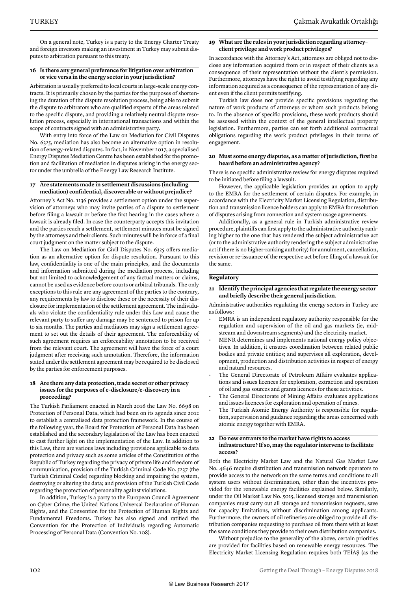On a general note, Turkey is a party to the Energy Charter Treaty and foreign investors making an investment in Turkey may submit disputes to arbitration pursuant to this treaty.

#### **16 Is there any general preference for litigation over arbitration or vice versa in the energy sector in your jurisdiction?**

Arbitration is usually preferred to local courts in large-scale energy contracts. It is primarily chosen by the parties for the purposes of shortening the duration of the dispute resolution process, being able to submit the dispute to arbitrators who are qualified experts of the areas related to the specific dispute, and providing a relatively neutral dispute resolution process, especially in international transactions and within the scope of contracts signed with an administrative party.

With entry into force of the Law on Mediation for Civil Disputes No. 6325, mediation has also become an alternative option in resolution of energy-related disputes. In fact, in November 2017, a specialised Energy Disputes Mediation Centre has been established for the promotion and facilitation of mediation in disputes arising in the energy sector under the umbrella of the Energy Law Research Institute.

#### **17 Are statements made in settlement discussions (including mediation) confidential, discoverable or without prejudice?**

Attorney's Act No. 1136 provides a settlement option under the supervision of attorneys who may invite parties of a dispute to settlement before filing a lawsuit or before the first hearing in the cases where a lawsuit is already filed. In case the counterparty accepts this invitation and the parties reach a settlement, settlement minutes must be signed by the attorneys and their clients. Such minutes will be in force of a final court judgment on the matter subject to the dispute.

The Law on Mediation for Civil Disputes No. 6325 offers mediation as an alternative option for dispute resolution. Pursuant to this law, confidentiality is one of the main principles, and the documents and information submitted during the mediation process, including but not limited to acknowledgement of any factual matters or claims, cannot be used as evidence before courts or arbitral tribunals. The only exceptions to this rule are any agreement of the parties to the contrary, any requirements by law to disclose these or the necessity of their disclosure for implementation of the settlement agreement. The individuals who violate the confidentiality rule under this Law and cause the relevant party to suffer any damage may be sentenced to prison for up to six months. The parties and mediators may sign a settlement agreement to set out the details of their agreement. The enforceability of such agreement requires an enforceability annotation to be received from the relevant court. The agreement will have the force of a court judgment after receiving such annotation. Therefore, the information stated under the settlement agreement may be required to be disclosed by the parties for enforcement purposes.

#### **18 Are there any data protection, trade secret or other privacy issues for the purposes of e-disclosure/e-discovery in a proceeding?**

The Turkish Parliament enacted in March 2016 the Law No. 6698 on Protection of Personal Data, which had been on its agenda since 2012 to establish a centralised data protection framework. In the course of the following year, the Board for Protection of Personal Data has been established and the secondary legislation of the Law has been enacted to cast further light on the implementation of the Law. In addition to this Law, there are various laws including provisions applicable to data protection and privacy such as some articles of the Constitution of the Republic of Turkey regarding the privacy of private life and freedom of communication, provision of the Turkish Criminal Code No. 5237 (the Turkish Criminal Code) regarding blocking and impairing the system, destroying or altering the data; and provision of the Turkish Civil Code regarding the protection of personality against violations.

In addition, Turkey is a party to the European Council Agreement on Cyber Crime, the United Nations Universal Declaration of Human Rights, and the Convention for the Protection of Human Rights and Fundamental Freedoms. Turkey has also signed and ratified the Convention for the Protection of Individuals regarding Automatic Processing of Personal Data (Convention No. 108).

#### **19 What are the rules in your jurisdiction regarding attorney– client privilege and work product privileges?**

In accordance with the Attorney's Act, attorneys are obliged not to disclose any information acquired from or in respect of their clients as a consequence of their representation without the client's permission. Furthermore, attorneys have the right to avoid testifying regarding any information acquired as a consequence of the representation of any client even if the client permits testifying.

Turkish law does not provide specific provisions regarding the nature of work products of attorneys or whom such products belong to. In the absence of specific provisions, these work products should be assessed within the context of the general intellectual property legislation. Furthermore, parties can set forth additional contractual obligations regarding the work product privileges in their terms of engagement.

#### **20 Must some energy disputes, as a matter of jurisdiction, first be heard before an administrative agency?**

There is no specific administrative review for energy disputes required to be initiated before filing a lawsuit.

However, the applicable legislation provides an option to apply to the EMRA for the settlement of certain disputes. For example, in accordance with the Electricity Market Licensing Regulation, distribution and transmission licence holders can apply to EMRA for resolution of disputes arising from connection and system usage agreements.

Additionally, as a general rule in Turkish administrative review procedure, plaintiffs can first apply to the administrative authority ranking higher to the one that has rendered the subject administrative act (or to the administrative authority rendering the subject administrative act if there is no higher-ranking authority) for annulment, cancellation, revision or re-issuance of the respective act before filing of a lawsuit for the same.

#### **Regulatory**

**21 Identify the principal agencies that regulate the energy sector and briefly describe their general jurisdiction.**

Administrative authorities regulating the energy sectors in Turkey are as follows:

- EMRA is an independent regulatory authority responsible for the regulation and supervision of the oil and gas markets (ie, midstream and downstream segments) and the electricity market.
- MENR determines and implements national energy policy objectives. In addition, it ensures coordination between related public bodies and private entities; and supervises all exploration, development, production and distribution activities in respect of energy and natural resources.
- The General Directorate of Petroleum Affairs evaluates applications and issues licences for exploration, extraction and operation of oil and gas sources and grants licences for these activities.
- The General Directorate of Mining Affairs evaluates applications and issues licences for exploration and operation of mines.
- The Turkish Atomic Energy Authority is responsible for regulation, supervision and guidance regarding the areas concerned with atomic energy together with EMRA.

#### **22 Do new entrants to the market have rights to access infrastructure? If so, may the regulator intervene to facilitate access?**

Both the Electricity Market Law and the Natural Gas Market Law No. 4646 require distribution and transmission network operators to provide access to the network on the same terms and conditions to all system users without discrimination, other than the incentives provided for the renewable energy facilities explained below. Similarly, under the Oil Market Law No. 5015, licensed storage and transmission companies must carry out all storage and transmission requests, save for capacity limitations, without discrimination among applicants. Furthermore, the owners of oil refineries are obliged to provide all distribution companies requesting to purchase oil from them with at least the same conditions they provide to their own distribution companies.

Without prejudice to the generality of the above, certain priorities are provided for facilities based on renewable energy resources. The Electricity Market Licensing Regulation requires both TEİAŞ (as the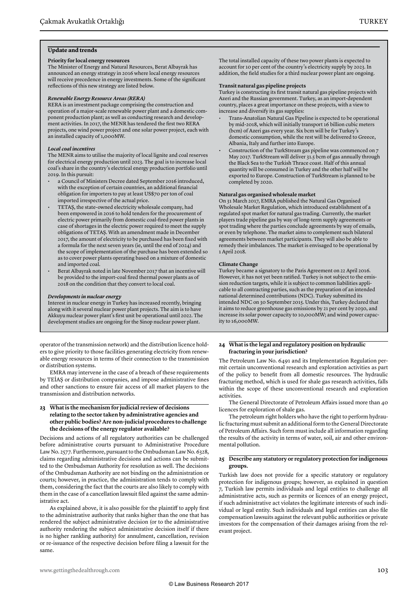#### **Update and trends**

#### **Priority for local energy resources**

The Minister of Energy and Natural Resources, Berat Albayrak has announced an energy strategy in 2016 where local energy resources will receive precedence in energy investments. Some of the significant reflections of this new strategy are listed below.

#### *Renewable Energy Resource Areas (RERA)*

RERA is an investment package comprising the construction and operation of a major-scale renewable power plant and a domestic component production plant; as well as conducting research and development activities. In 2017, the MENR has tendered the first two RERA projects, one wind power project and one solar power project, each with an installed capacity of 1,000MW.

#### *Local coal incentives*

The MENR aims to utilise the majority of local lignite and coal reserves for electrical energy production until 2023. The goal is to increase local coal's share in the country's electrical energy production portfolio until 2019. In this pursuit:

- a Council of Ministers Decree dated September 2016 introduced, with the exception of certain countries, an additional financial obligation for importers to pay at least US\$70 per ton of coal imported irrespective of the actual price.
- TETAŞ, the state-owned electricity wholesale company, had been empowered in 2016 to hold tenders for the procurement of electric power primarily from domestic coal-fired power plants in case of shortages in the electric power required to meet the supply obligations of TETAŞ. With an amendment made in December 2017, the amount of electricity to be purchased has been fixed with a formula for the next seven years (ie, until the end of 2024) and the scope of implementation of the purchase has been extended so as to cover power plants operating based on a mixture of domestic and imported coal.
- Berat Albayrak noted in late November 2017 that an incentive will be provided to the import-coal fired thermal power plants as of 2018 on the condition that they convert to local coal.

#### *Developments in nuclear energy*

Interest in nuclear energy in Turkey has increased recently, bringing along with it several nuclear power plant projects. The aim is to have Akkuyu nuclear power plant's first unit be operational until 2022. The development studies are ongoing for the Sinop nuclear power plant.

operator of the transmission network) and the distribution licence holders to give priority to those facilities generating electricity from renewable energy resources in terms of their connection to the transmission or distribution systems.

EMRA may intervene in the case of a breach of these requirements by TEİAŞ or distribution companies, and impose administrative fines and other sanctions to ensure fair access of all market players to the transmission and distribution networks.

#### **23 What is the mechanism for judicial review of decisions relating to the sector taken by administrative agencies and other public bodies? Are non-judicial procedures to challenge the decisions of the energy regulator available?**

Decisions and actions of all regulatory authorities can be challenged before administrative courts pursuant to Administrative Procedure Law No. 2577. Furthermore, pursuant to the Ombudsman Law No. 6328, claims regarding administrative decisions and actions can be submitted to the Ombudsman Authority for resolution as well. The decisions of the Ombudsman Authority are not binding on the administration or courts; however, in practice, the administration tends to comply with them, considering the fact that the courts are also likely to comply with them in the case of a cancellation lawsuit filed against the same administrative act.

As explained above, it is also possible for the plaintiff to apply first to the administrative authority that ranks higher than the one that has rendered the subject administrative decision (or to the administrative authority rendering the subject administrative decision itself if there is no higher rankling authority) for annulment, cancellation, revision or re-issuance of the respective decision before filing a lawsuit for the same.

The total installed capacity of these two power plants is expected to account for 10 per cent of the country's electricity supply by 2023. In addition, the field studies for a third nuclear power plant are ongoing.

#### **Transit natural gas pipeline projects**

Turkey is constructing its first transit natural gas pipeline projects with Azeri and the Russian government. Turkey, as an import-dependent country, places a great importance on these projects, with a view to increase and diversify its gas supplies:

- Trans-Anatolian Natural Gas Pipeline is expected to be operational by mid-2018, which will initially transport 16 billion cubic meters (bcm) of Azeri gas every year. Six bcm will be for Turkey's domestic consumption, while the rest will be delivered to Greece, Albania, Italy and further into Europe.
- Construction of the TurkStream gas pipeline was commenced on 7 May 2017. TurkStream will deliver 31.5 bcm of gas annually through the Black Sea to the Turkish Thrace coast. Half of this annual quantity will be consumed in Turkey and the other half will be exported to Europe. Construction of TurkStream is planned to be completed by 2020.

#### **Natural gas organised wholesale market**

On 31 March 2017, EMRA published the Natural Gas Organised Wholesale Market Regulation, which introduced establishment of a regulated spot market for natural gas trading. Currently, the market players trade pipeline gas by way of long-term supply agreements or spot trading where the parties conclude agreements by way of emails, or even by telephone. The market aims to complement such bilateral agreements between market participants. They will also be able to remedy their imbalances. The market is envisaged to be operational by 1 April 2018.

#### **Climate Change**

Turkey became a signatory to the Paris Agreement on 22 April 2016. However, it has not yet been ratified. Turkey is not subject to the emission reduction targets, while it is subject to common liabilities applicable to all contracting parties, such as the preparation of an intended national determined contributions (NDC). Turkey submitted its intended NDC on 30 September 2015. Under this, Turkey declared that it aims to reduce greenhouse gas emissions by 21 per cent by 2030, and increase its solar power capacity to 10,000MW; and wind power capacity to 16,000MW.

#### **24 What is the legal and regulatory position on hydraulic fracturing in your jurisdiction?**

The Petroleum Law No. 6491 and its Implementation Regulation permit certain unconventional research and exploration activities as part of the policy to benefit from all domestic resources. The hydraulic fracturing method, which is used for shale gas research activities, falls within the scope of these unconventional research and exploration activities.

The General Directorate of Petroleum Affairs issued more than 40 licences for exploration of shale gas.

The petroleum right holders who have the right to perform hydraulic fracturing must submit an additional form to the General Directorate of Petroleum Affairs. Such form must include all information regarding the results of the activity in terms of water, soil, air and other environmental pollution.

#### **25 Describe any statutory or regulatory protection for indigenous groups.**

Turkish law does not provide for a specific statutory or regulatory protection for indigenous groups; however, as explained in question 7, Turkish law permits individuals and legal entities to challenge all administrative acts, such as permits or licences of an energy project, if such administrative act violates the legitimate interests of such individual or legal entity. Such individuals and legal entities can also file compensation lawsuits against the relevant public authorities or private investors for the compensation of their damages arising from the relevant project.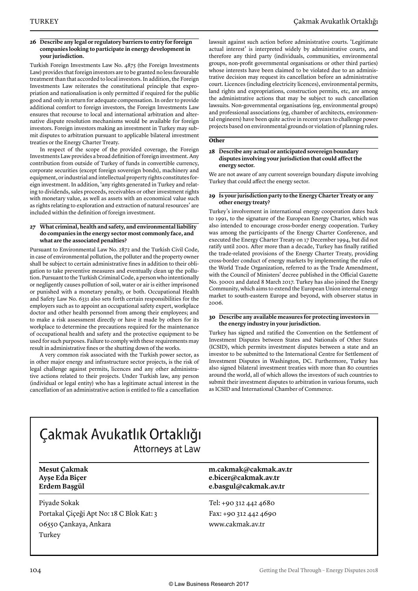#### **26 Describe any legal or regulatory barriers to entry for foreign companies looking to participate in energy development in your jurisdiction.**

Turkish Foreign Investments Law No. 4875 (the Foreign Investments Law) provides that foreign investors are to be granted no less favourable treatment than that accorded to local investors. In addition, the Foreign Investments Law reiterates the constitutional principle that expropriation and nationalisation is only permitted if required for the public good and only in return for adequate compensation. In order to provide additional comfort to foreign investors, the Foreign Investments Law ensures that recourse to local and international arbitration and alternative dispute resolution mechanisms would be available for foreign investors. Foreign investors making an investment in Turkey may submit disputes to arbitration pursuant to applicable bilateral investment treaties or the Energy Charter Treaty.

In respect of the scope of the provided coverage, the Foreign Investments Law provides a broad definition of foreign investment. Any contribution from outside of Turkey of funds in convertible currency, corporate securities (except foreign sovereign bonds), machinery and equipment, or industrial and intellectual property rights constitutes foreign investment. In addition, 'any rights generated in Turkey and relating to dividends, sales proceeds, receivables or other investment rights with monetary value, as well as assets with an economical value such as rights relating to exploration and extraction of natural resources' are included within the definition of foreign investment.

#### **27 What criminal, health and safety, and environmental liability do companies in the energy sector most commonly face, and what are the associated penalties?**

Pursuant to Environmental Law No. 2872 and the Turkish Civil Code, in case of environmental pollution, the polluter and the property owner shall be subject to certain administrative fines in addition to their obligation to take preventive measures and eventually clean up the pollution. Pursuant to the Turkish Criminal Code, a person who intentionally or negligently causes pollution of soil, water or air is either imprisoned or punished with a monetary penalty, or both. Occupational Health and Safety Law No. 6331 also sets forth certain responsibilities for the employers such as to appoint an occupational safety expert, workplace doctor and other health personnel from among their employees; and to make a risk assessment directly or have it made by others for its workplace to determine the precautions required for the maintenance of occupational health and safety and the protective equipment to be used for such purposes. Failure to comply with these requirements may result in administrative fines or the shutting down of the works.

A very common risk associated with the Turkish power sector, as in other major energy and infrastructure sector projects, is the risk of legal challenge against permits, licences and any other administrative actions related to their projects. Under Turkish law, any person (individual or legal entity) who has a legitimate actual interest in the cancellation of an administrative action is entitled to file a cancellation

lawsuit against such action before administrative courts. 'Legitimate actual interest' is interpreted widely by administrative courts, and therefore any third party (individuals, communities, environmental groups, non-profit governmental organisations or other third parties) whose interests have been claimed to be violated due to an administrative decision may request its cancellation before an administrative court. Licences (including electricity licences), environmental permits, land rights and expropriations, construction permits, etc, are among the administrative actions that may be subject to such cancellation lawsuits. Non-governmental organisations (eg, environmental groups) and professional associations (eg, chamber of architects, environmental engineers) have been quite active in recent years to challenge power projects based on environmental grounds or violation of planning rules.

#### **Other**

#### **28 Describe any actual or anticipated sovereign boundary disputes involving your jurisdiction that could affect the energy sector.**

We are not aware of any current sovereign boundary dispute involving Turkey that could affect the energy sector.

#### **29 Is your jurisdiction party to the Energy Charter Treaty or any other energy treaty?**

Turkey's involvement in international energy cooperation dates back to 1991, to the signature of the European Energy Charter, which was also intended to encourage cross-border energy cooperation. Turkey was among the participants of the Energy Charter Conference, and executed the Energy Charter Treaty on 17 December 1994, but did not ratify until 2001. After more than a decade, Turkey has finally ratified the trade-related provisions of the Energy Charter Treaty, providing cross-border conduct of energy markets by implementing the rules of the World Trade Organization, referred to as the Trade Amendment, with the Council of Ministers' decree published in the Official Gazette No. 30001 and dated 8 March 2017. Turkey has also joined the Energy Community, which aims to extend the European Union internal energy market to south-eastern Europe and beyond, with observer status in 2006.

#### **30 Describe any available measures for protecting investors in the energy industry in your jurisdiction.**

Turkey has signed and ratified the Convention on the Settlement of Investment Disputes between States and Nationals of Other States (ICSID), which permits investment disputes between a state and an investor to be submitted to the International Centre for Settlement of Investment Disputes in Washington, DC. Furthermore, Turkey has also signed bilateral investment treaties with more than 80 countries around the world, all of which allows the investors of such countries to submit their investment disputes to arbitration in various forums, such as ICSID and International Chamber of Commerce.

### Çakmak Avukatlık Ortaklığı Attorneys at Law

| <b>Mesut Çakmak</b><br>Ayşe Eda Biçer<br>Erdem Başgül | m.cakmak@cakmak.av.tr<br>e.bicer@cakmak.av.tr<br>e.basgul@cakmak.av.tr |  |
|-------------------------------------------------------|------------------------------------------------------------------------|--|
| Piyade Sokak                                          | Tel: +90 312 442 4680                                                  |  |
| Portakal Çiçeği Apt No: 18 C Blok Kat: 3              | Fax: +90 312 442 4690                                                  |  |
| 06550 Çankaya, Ankara                                 | www.cakmak.av.tr                                                       |  |
| Turkey                                                |                                                                        |  |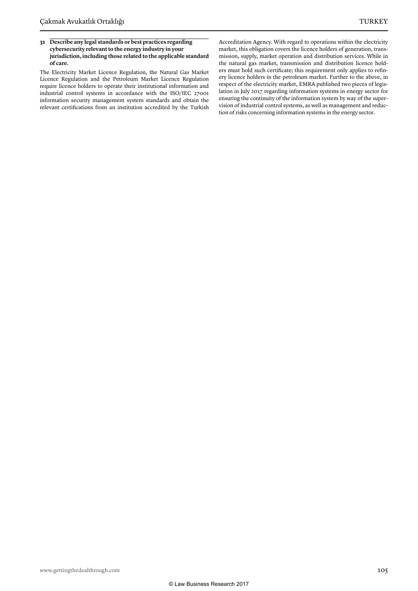#### **31 Describe any legal standards or best practices regarding cybersecurity relevant to the energy industry in your jurisdiction, including those related to the applicable standard of care.**

The Electricity Market Licence Regulation, the Natural Gas Market Licence Regulation and the Petroleum Market Licence Regulation require licence holders to operate their institutional information and industrial control systems in accordance with the ISO/IEC 27001 information security management system standards and obtain the relevant certifications from an institution accredited by the Turkish

Accreditation Agency. With regard to operations within the electricity market, this obligation covers the licence holders of generation, transmission, supply, market operation and distribution services. While in the natural gas market, transmission and distribution licence holders must hold such certificate; this requirement only applies to refinery licence holders in the petroleum market. Further to the above, in respect of the electricity market, EMRA published two pieces of legislation in July 2017 regarding information systems in energy sector for ensuring the continuity of the information system by way of the supervision of industrial control systems, as well as management and reduction of risks concerning information systems in the energy sector.